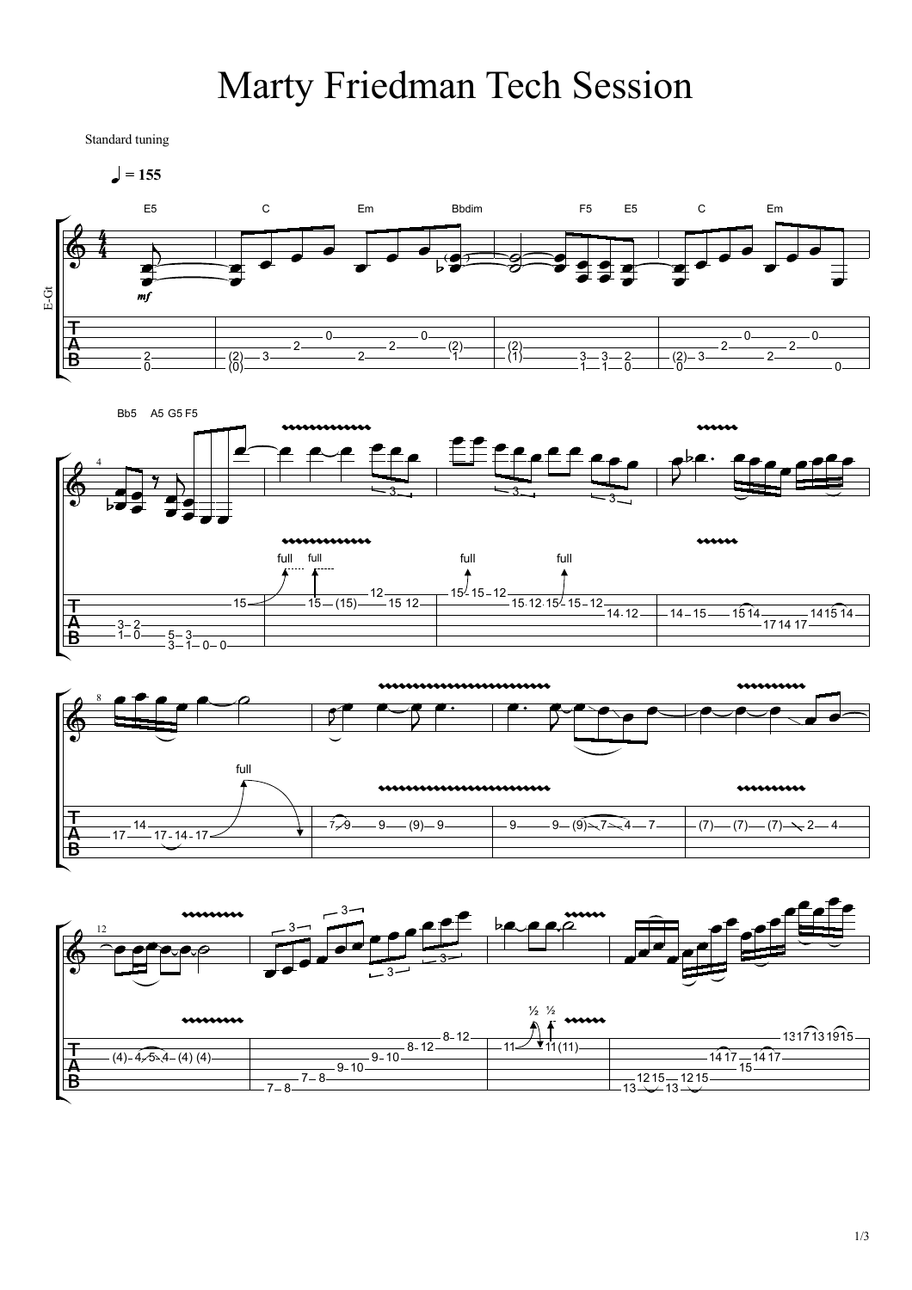## Marty Friedman Tech Session

Standard tuning

 $= 155$ 



 Bb5 A5 G5 F5 3  $3-2$   $-5-3$   $-1-0$   $-5-3$  $3 - 2$ <br>1-0  $5 - 3$ <br> $3 - 1 - 0 - 0$ full full  $15 - (15)$  $15 - (15)$   $- 15$  12  $- 15$  $-$  15<sup> $\frac{1}{2}$ </sup> 15 - 12 full  $\frac{15^{2}15-12}{15}$  15  $\frac{15}{15}$  15  $-12$  ... full  $12$   $-$  14  $-$  15  $-$  15 14  $-$  14 15 14  $-$ 17



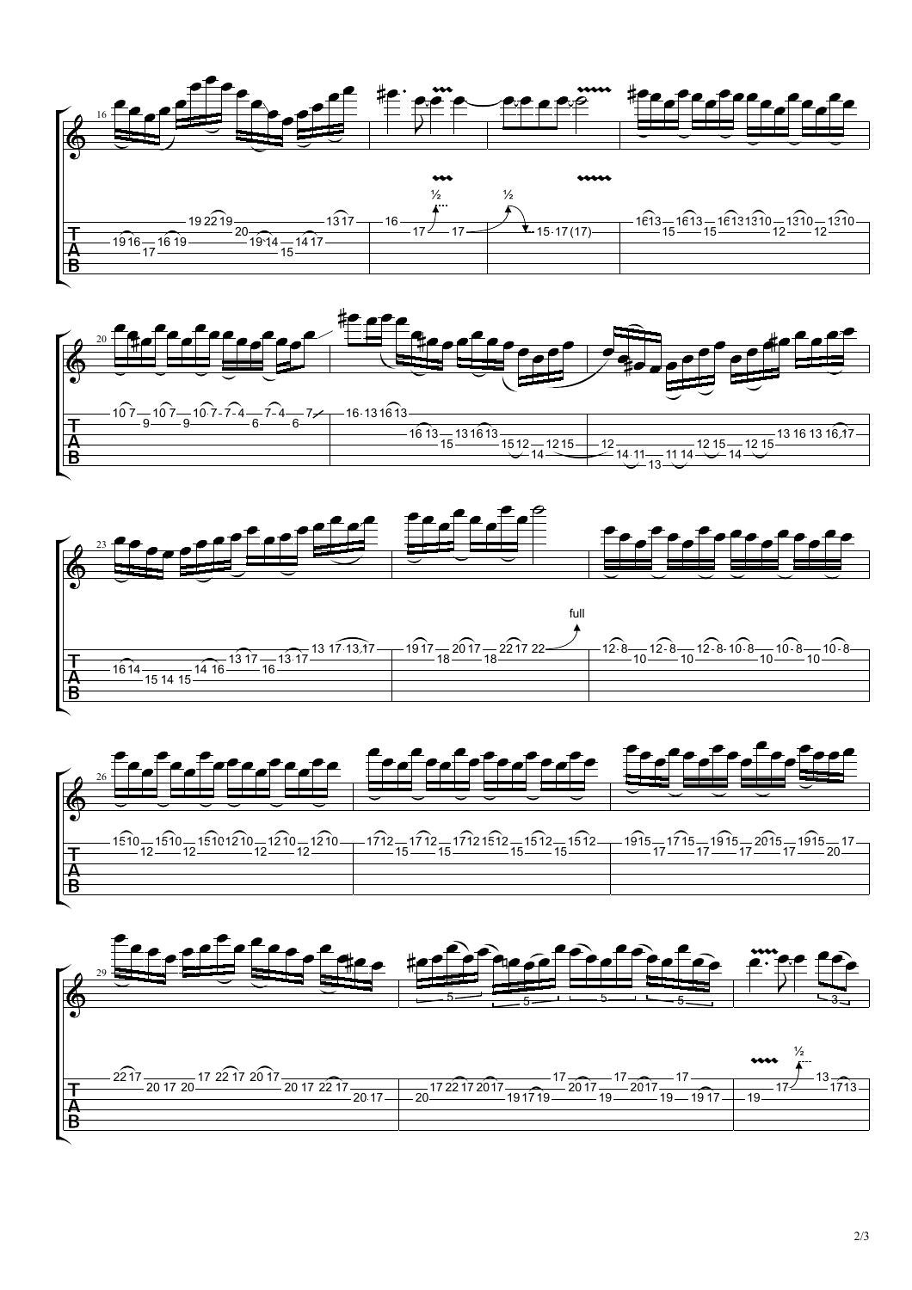